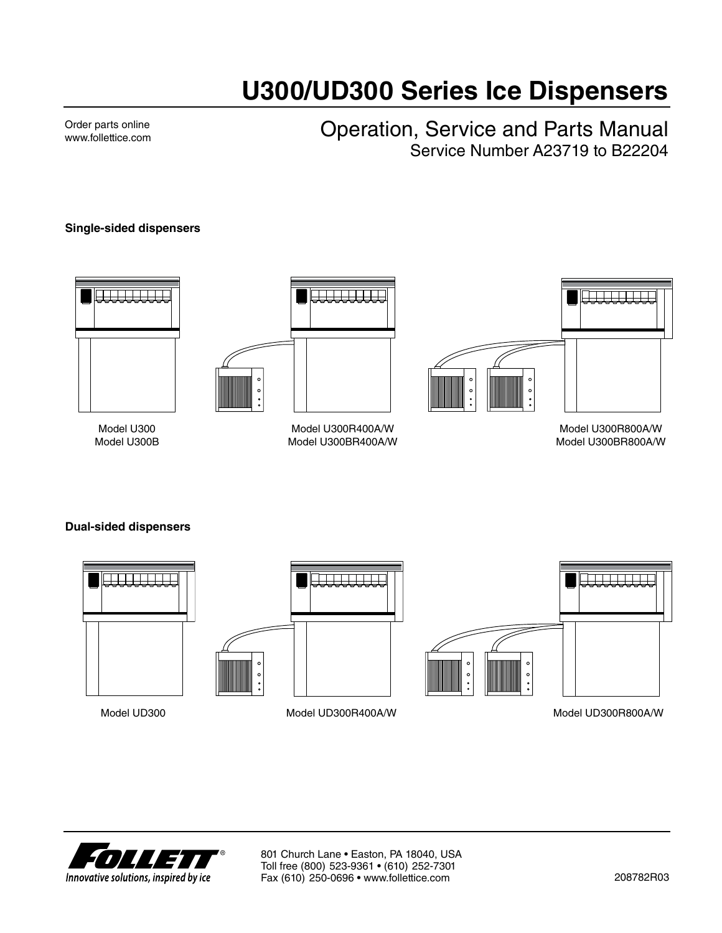# **U300/UD300 Series Ice Dispensers**

Order parts online www.follettice.com Operation, Service and Parts Manual Service Number A23719 to B22204

#### **Single-sided dispensers**





Model U300 Model U300B

Model U300R400A/W Model U300BR400A/W



Model U300R800A/W Model U300BR800A/W

#### **Dual-sided dispensers**



Model UD300

Model UD300R400A/W Model UD300R800A/W

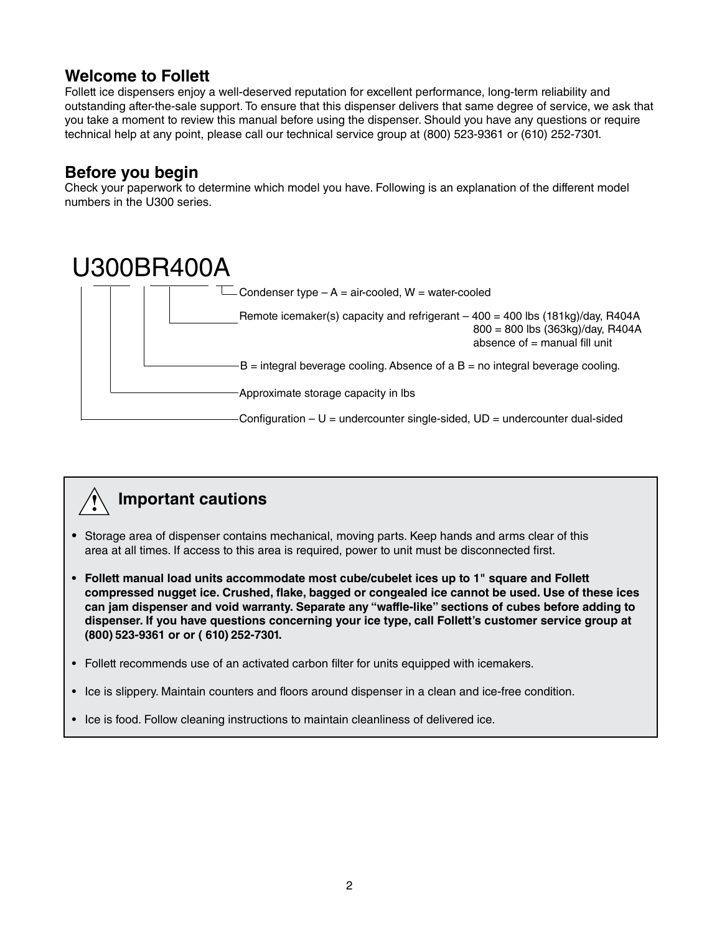### **Welcome to Follett**

Follett ice dispensers enjoy a well-deserved reputation for excellent performance, long-term reliability and outstanding after-the-sale support. To ensure that this dispenser delivers that same degree of service, we ask that you take a moment to review this manual before using the dispenser. Should you have any questions or require technical help at any point, please call our technical service group at (800) 523-9361 or (610) 252-7301.

### **Before you begin**

Check your paperwork to determine which model you have. Following is an explanation of the different model numbers in the U300 series.





- Storage area of dispenser contains mechanical, moving parts. Keep hands and arms clear of this area at all times. If access to this area is required, power to unit must be disconnected first.
- **• Follett manual load units accommodate most cube/cubelet ices up to 1" square and Follett compressed nugget ice. Crushed, flake, bagged or congealed ice cannot be used. Use of these ices can jam dispenser and void warranty. Separate any "waffle-like" sections of cubes before adding to dispenser. If you have questions concerning your ice type, call Follett's customer service group at (800) 523-9361 or or ( 610) 252-7301.**
- Follett recommends use of an activated carbon filter for units equipped with icemakers.
- Ice is slippery. Maintain counters and floors around dispenser in a clean and ice-free condition.
- Ice is food. Follow cleaning instructions to maintain cleanliness of delivered ice.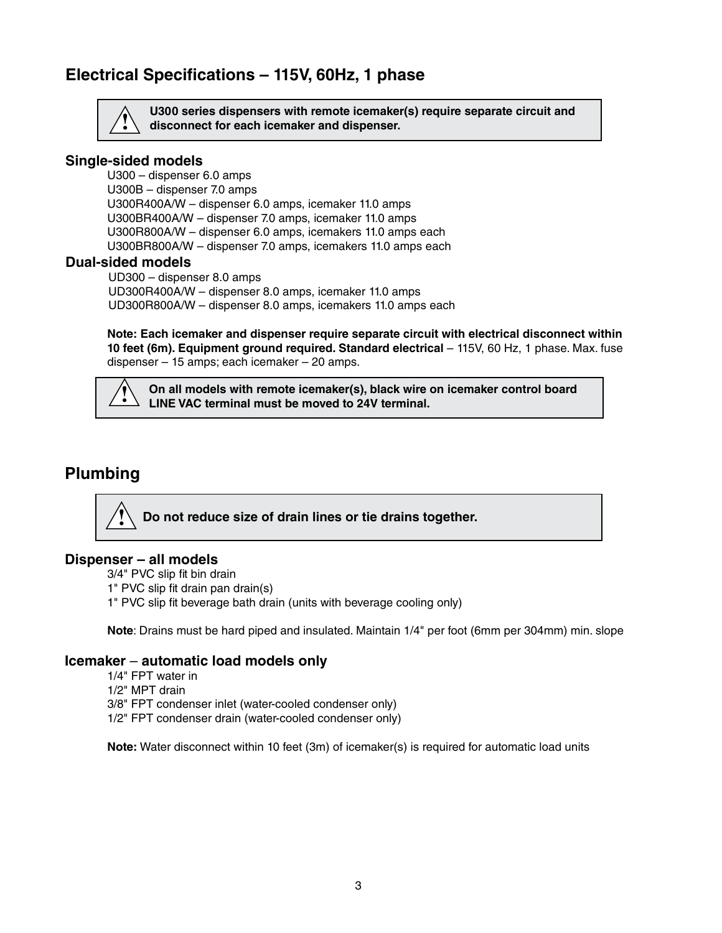### **Electrical Specifications – 115V, 60Hz, 1 phase**



**U300 series dispensers with remote icemaker(s) require separate circuit and ! disconnect for each icemaker and dispenser.**

#### **Single-sided models**

U300 – dispenser 6.0 amps U300B – dispenser 7.0 amps U300R400A/W – dispenser 6.0 amps, icemaker 11.0 amps U300BR400A/W – dispenser 7.0 amps, icemaker 11.0 amps U300R800A/W – dispenser 6.0 amps, icemakers 11.0 amps each U300BR800A/W – dispenser 7.0 amps, icemakers 11.0 amps each

#### **Dual-sided models**

UD300 – dispenser 8.0 amps UD300R400A/W – dispenser 8.0 amps, icemaker 11.0 amps UD300R800A/W – dispenser 8.0 amps, icemakers 11.0 amps each

 **Note: Each icemaker and dispenser require separate circuit with electrical disconnect within 10 feet (6m). Equipment ground required. Standard electrical** – 115V, 60 Hz, 1 phase. Max. fuse dispenser – 15 amps; each icemaker – 20 amps.

**On all models with remote icemaker(s), black wire on icemaker control board LINE VAC terminal must be moved to 24V terminal. !**

### **Plumbing**

**Do not reduce size of drain lines or tie drains together. !**

#### **Dispenser – all models**

3/4" PVC slip fit bin drain

- 1" PVC slip fit drain pan drain(s)
- 1" PVC slip fit beverage bath drain (units with beverage cooling only)

**Note**: Drains must be hard piped and insulated. Maintain 1/4" per foot (6mm per 304mm) min. slope

#### **Icemaker** – **automatic load models only**

- 1/4" FPT water in
- 1/2" MPT drain
- 3/8" FPT condenser inlet (water-cooled condenser only)
- 1/2" FPT condenser drain (water-cooled condenser only)

**Note:** Water disconnect within 10 feet (3m) of icemaker(s) is required for automatic load units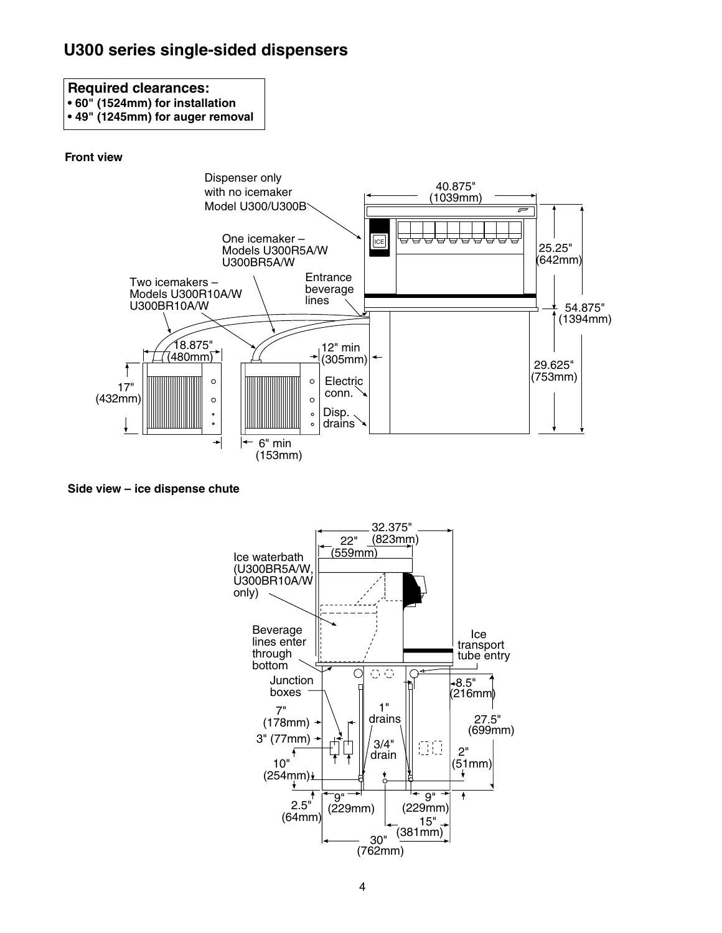## **U300 series single-sided dispensers**

### **Required clearances:**

**• 60" (1524mm) for installation**

**• 49" (1245mm) for auger removal**

#### **Front view**



**Side view – ice dispense chute**

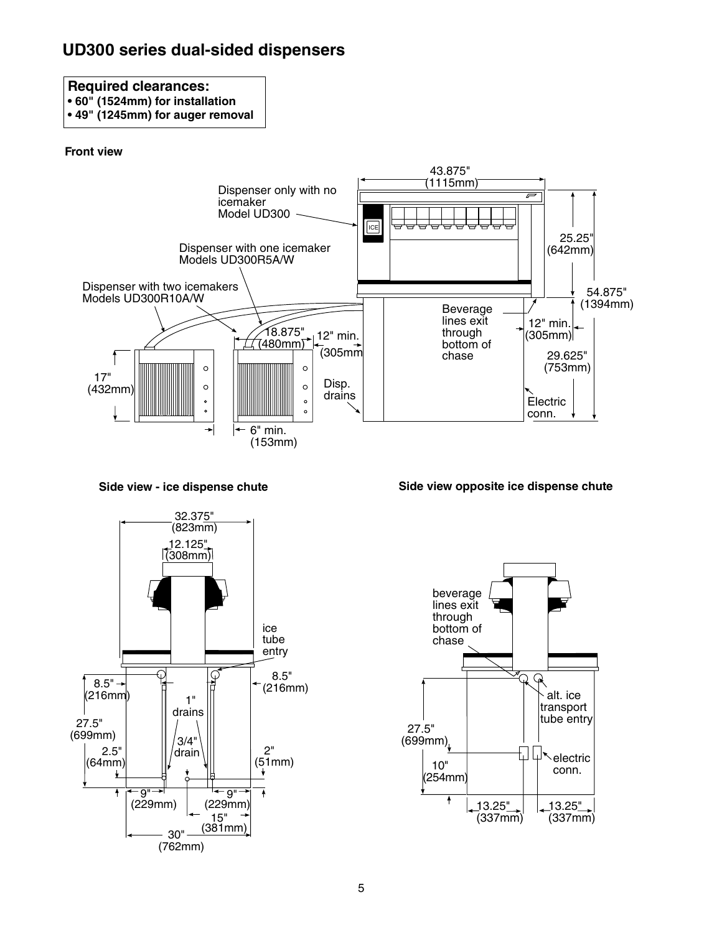# **UD300 series dual-sided dispensers**

### **Required clearances:**

- **60" (1524mm) for installation**
- **49" (1245mm) for auger removal**

#### **Front view**



**Side view - ice dispense chute**





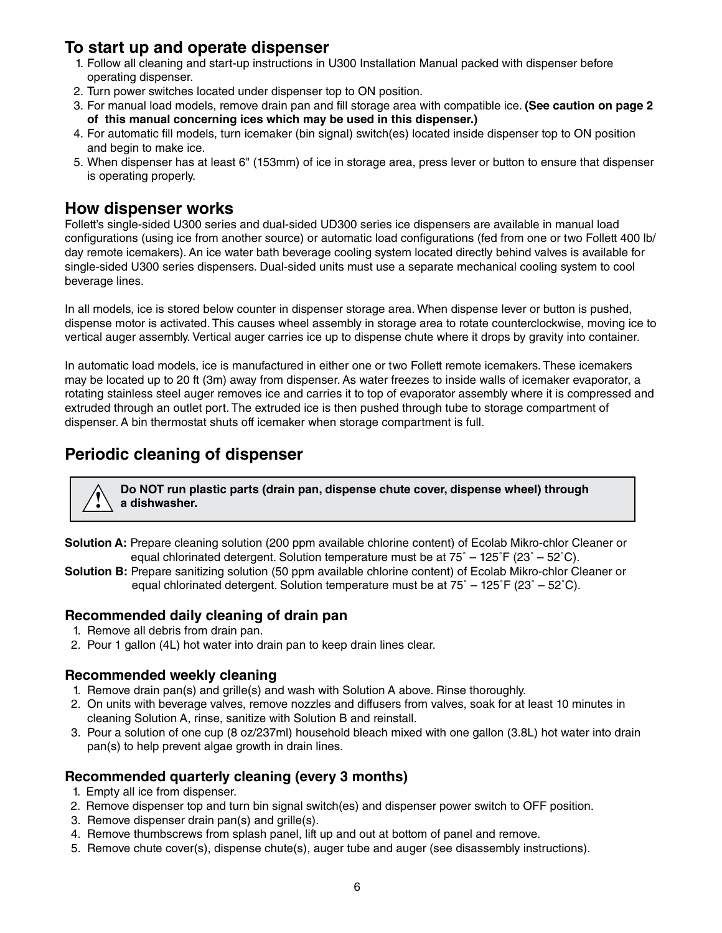### **To start up and operate dispenser**

- 1. Follow all cleaning and start-up instructions in U300 Installation Manual packed with dispenser before operating dispenser.
- 2. Turn power switches located under dispenser top to ON position.
- 3. For manual load models, remove drain pan and fill storage area with compatible ice. **(See caution on page 2 of this manual concerning ices which may be used in this dispenser.)**
- 4. For automatic fill models, turn icemaker (bin signal) switch(es) located inside dispenser top to ON position and begin to make ice.
- 5. When dispenser has at least 6" (153mm) of ice in storage area, press lever or button to ensure that dispenser is operating properly.

### **How dispenser works**

Follett's single-sided U300 series and dual-sided UD300 series ice dispensers are available in manual load configurations (using ice from another source) or automatic load configurations (fed from one or two Follett 400 lb/ day remote icemakers). An ice water bath beverage cooling system located directly behind valves is available for single-sided U300 series dispensers. Dual-sided units must use a separate mechanical cooling system to cool beverage lines.

In all models, ice is stored below counter in dispenser storage area. When dispense lever or button is pushed, dispense motor is activated. This causes wheel assembly in storage area to rotate counterclockwise, moving ice to vertical auger assembly. Vertical auger carries ice up to dispense chute where it drops by gravity into container.

In automatic load models, ice is manufactured in either one or two Follett remote icemakers. These icemakers may be located up to 20 ft (3m) away from dispenser. As water freezes to inside walls of icemaker evaporator, a rotating stainless steel auger removes ice and carries it to top of evaporator assembly where it is compressed and extruded through an outlet port. The extruded ice is then pushed through tube to storage compartment of dispenser. A bin thermostat shuts off icemaker when storage compartment is full.

# **Periodic cleaning of dispenser**

**Do NOT run plastic parts (drain pan, dispense chute cover, dispense wheel) through ! a dishwasher.**

- **Solution A:** Prepare cleaning solution (200 ppm available chlorine content) of Ecolab Mikro-chlor Cleaner or equal chlorinated detergent. Solution temperature must be at  $75^\circ - 125^\circ F (23^\circ - 52^\circ C)$ .
- **Solution B:** Prepare sanitizing solution (50 ppm available chlorine content) of Ecolab Mikro-chlor Cleaner or equal chlorinated detergent. Solution temperature must be at  $75^\circ - 125^\circ F (23^\circ - 52^\circ C)$ .

#### **Recommended daily cleaning of drain pan**

- 1. Remove all debris from drain pan.
- 2. Pour 1 gallon (4L) hot water into drain pan to keep drain lines clear.

#### **Recommended weekly cleaning**

- 1. Remove drain pan(s) and grille(s) and wash with Solution A above. Rinse thoroughly.
- 2. On units with beverage valves, remove nozzles and diffusers from valves, soak for at least 10 minutes in cleaning Solution A, rinse, sanitize with Solution B and reinstall.
- 3. Pour a solution of one cup (8 oz/237ml) household bleach mixed with one gallon (3.8L) hot water into drain pan(s) to help prevent algae growth in drain lines.

#### **Recommended quarterly cleaning (every 3 months)**

- 1. Empty all ice from dispenser.
- 2. Remove dispenser top and turn bin signal switch(es) and dispenser power switch to OFF position.
- 3. Remove dispenser drain pan(s) and grille(s).
- 4. Remove thumbscrews from splash panel, lift up and out at bottom of panel and remove.
- 5. Remove chute cover(s), dispense chute(s), auger tube and auger (see disassembly instructions).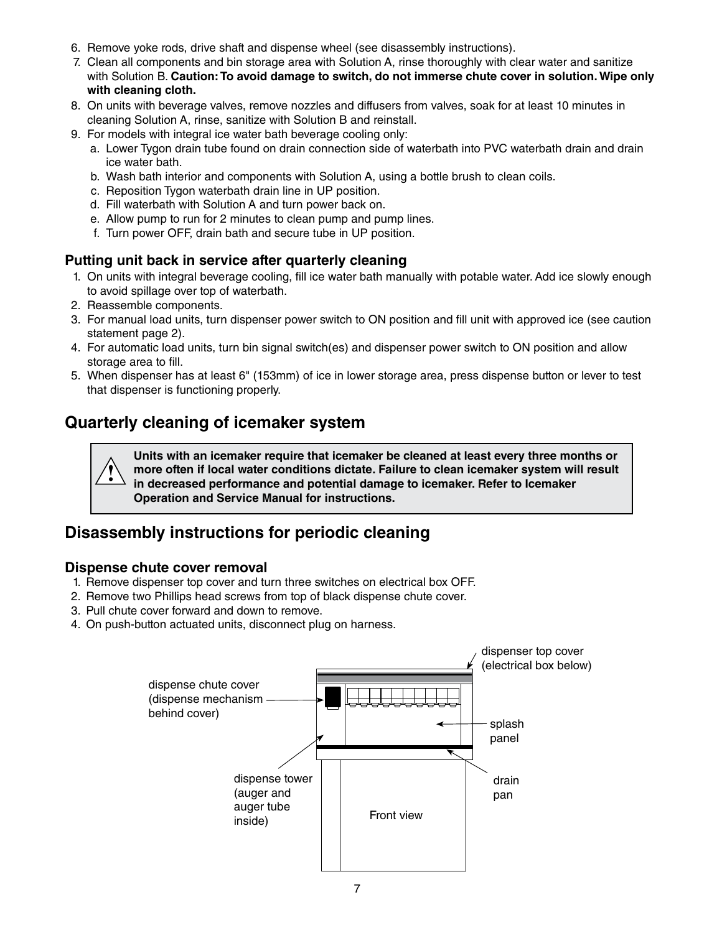- 6. Remove yoke rods, drive shaft and dispense wheel (see disassembly instructions).
- 7. Clean all components and bin storage area with Solution A, rinse thoroughly with clear water and sanitize with Solution B. **Caution: To avoid damage to switch, do not immerse chute cover in solution. Wipe only with cleaning cloth.**
- 8. On units with beverage valves, remove nozzles and diffusers from valves, soak for at least 10 minutes in cleaning Solution A, rinse, sanitize with Solution B and reinstall.
- 9. For models with integral ice water bath beverage cooling only:
	- a. Lower Tygon drain tube found on drain connection side of waterbath into PVC waterbath drain and drain ice water bath.
	- b. Wash bath interior and components with Solution A, using a bottle brush to clean coils.
	- c. Reposition Tygon waterbath drain line in UP position.
	- d. Fill waterbath with Solution A and turn power back on.
	- e. Allow pump to run for 2 minutes to clean pump and pump lines.
	- f. Turn power OFF, drain bath and secure tube in UP position.

#### **Putting unit back in service after quarterly cleaning**

- 1. On units with integral beverage cooling, fill ice water bath manually with potable water. Add ice slowly enough to avoid spillage over top of waterbath.
- 2. Reassemble components.
- 3. For manual load units, turn dispenser power switch to ON position and fill unit with approved ice (see caution statement page 2).
- 4. For automatic load units, turn bin signal switch(es) and dispenser power switch to ON position and allow storage area to fill.
- 5. When dispenser has at least 6" (153mm) of ice in lower storage area, press dispense button or lever to test that dispenser is functioning properly.

# **Quarterly cleaning of icemaker system**

**Units with an icemaker require that icemaker be cleaned at least every three months or more often if local water conditions dictate. Failure to clean icemaker system will result in decreased performance and potential damage to icemaker. Refer to Icemaker Operation and Service Manual for instructions. !**

# **Disassembly instructions for periodic cleaning**

#### **Dispense chute cover removal**

- 1. Remove dispenser top cover and turn three switches on electrical box OFF.
- 2. Remove two Phillips head screws from top of black dispense chute cover.
- 3. Pull chute cover forward and down to remove.
- 4. On push-button actuated units, disconnect plug on harness.

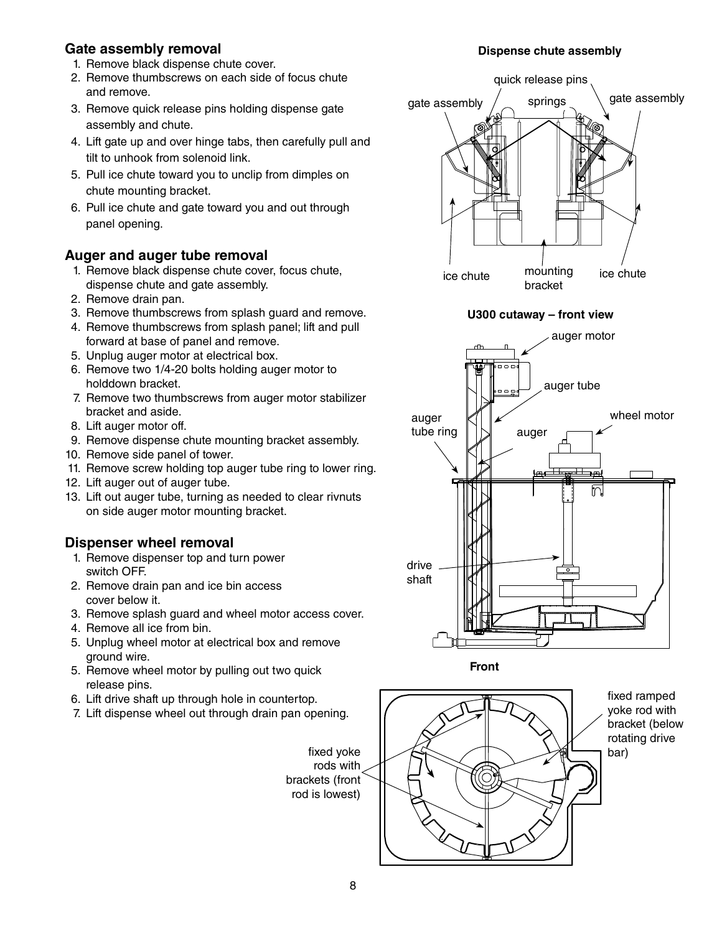#### **Gate assembly removal**

- 1. Remove black dispense chute cover.
- 2. Remove thumbscrews on each side of focus chute and remove.
- 3. Remove quick release pins holding dispense gate assembly and chute.
- 4. Lift gate up and over hinge tabs, then carefully pull and tilt to unhook from solenoid link.
- 5. Pull ice chute toward you to unclip from dimples on chute mounting bracket.
- 6. Pull ice chute and gate toward you and out through panel opening.

### **Auger and auger tube removal**

- 1. Remove black dispense chute cover, focus chute, dispense chute and gate assembly.
- 2. Remove drain pan.
- 3. Remove thumbscrews from splash guard and remove.
- 4. Remove thumbscrews from splash panel; lift and pull forward at base of panel and remove.
- 5. Unplug auger motor at electrical box.
- 6. Remove two 1/4-20 bolts holding auger motor to holddown bracket.
- 7. Remove two thumbscrews from auger motor stabilizer bracket and aside.
- 8. Lift auger motor off.
- 9. Remove dispense chute mounting bracket assembly.
- 10. Remove side panel of tower.
- 11. Remove screw holding top auger tube ring to lower ring.
- 12. Lift auger out of auger tube.
- 13. Lift out auger tube, turning as needed to clear rivnuts on side auger motor mounting bracket.

#### **Dispenser wheel removal**

- 1. Remove dispenser top and turn power switch OFF.
- 2. Remove drain pan and ice bin access cover below it.
- 3. Remove splash guard and wheel motor access cover.
- 4. Remove all ice from bin.
- 5. Unplug wheel motor at electrical box and remove ground wire.
- 5. Remove wheel motor by pulling out two quick release pins.
- 6. Lift drive shaft up through hole in countertop.
- 7. Lift dispense wheel out through drain pan opening.

#### **Dispense chute assembly**











fixed ramped yoke rod with bracket (below rotating drive bar)

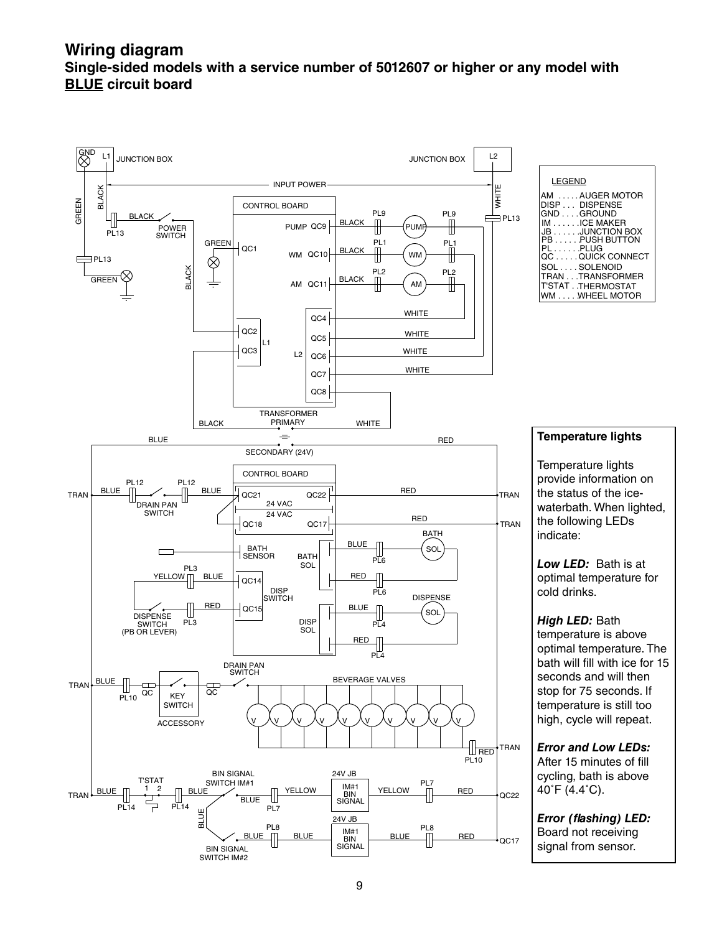#### **Wiring diagram Single-sided models with a service number of 5012607 or higher or any model with blue circuit board**

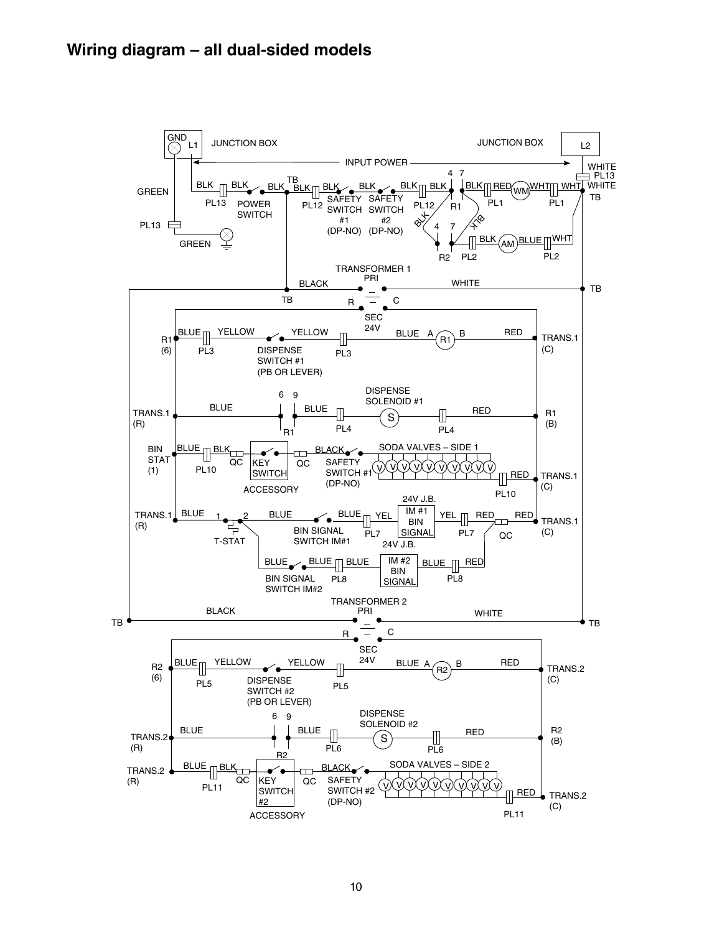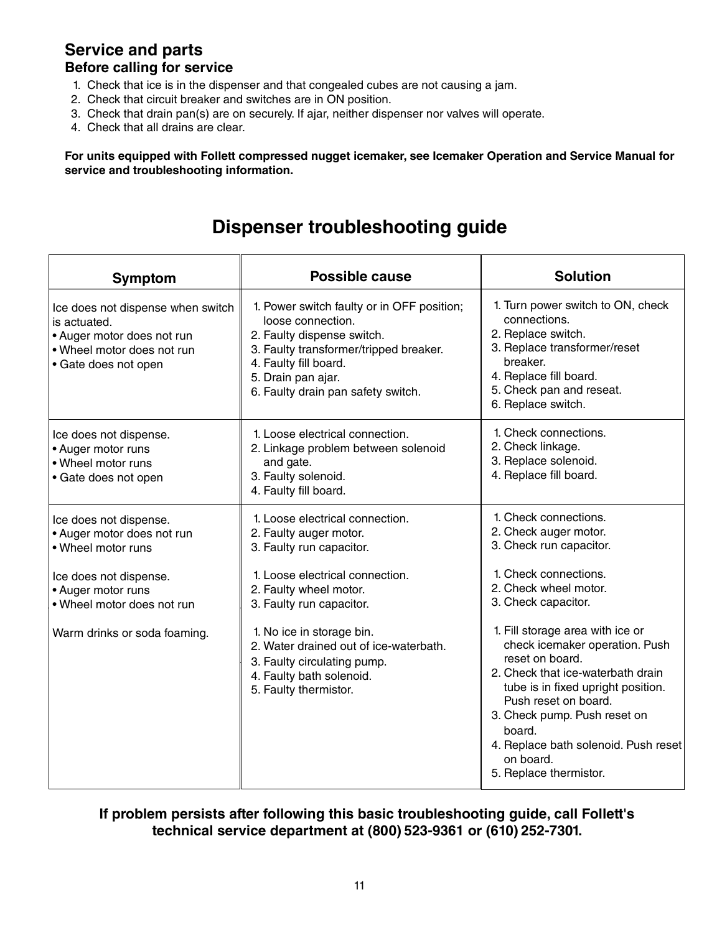#### **Service and parts Before calling for service**

- 1. Check that ice is in the dispenser and that congealed cubes are not causing a jam.
- 2. Check that circuit breaker and switches are in ON position.
- 3. Check that drain pan(s) are on securely. If ajar, neither dispenser nor valves will operate.
- 4. Check that all drains are clear.

**For units equipped with Follett compressed nugget icemaker, see Icemaker Operation and Service Manual for service and troubleshooting information.**

# **Dispenser troubleshooting guide**

| Symptom                                                                                                                                                                                  | <b>Possible cause</b>                                                                                                                                                                                                                                                                                                                     | <b>Solution</b>                                                                                                                                                                                                                                                                                                                                                                                                                                                         |  |
|------------------------------------------------------------------------------------------------------------------------------------------------------------------------------------------|-------------------------------------------------------------------------------------------------------------------------------------------------------------------------------------------------------------------------------------------------------------------------------------------------------------------------------------------|-------------------------------------------------------------------------------------------------------------------------------------------------------------------------------------------------------------------------------------------------------------------------------------------------------------------------------------------------------------------------------------------------------------------------------------------------------------------------|--|
| Ice does not dispense when switch<br>is actuated.<br>• Auger motor does not run<br>. Wheel motor does not run<br>• Gate does not open                                                    | 1. Power switch faulty or in OFF position;<br>loose connection.<br>2. Faulty dispense switch.<br>3. Faulty transformer/tripped breaker.<br>4. Faulty fill board.<br>5. Drain pan ajar.<br>6. Faulty drain pan safety switch.                                                                                                              | 1. Turn power switch to ON, check<br>connections.<br>2. Replace switch.<br>3. Replace transformer/reset<br>breaker.<br>4. Replace fill board.<br>5. Check pan and reseat.<br>6. Replace switch.                                                                                                                                                                                                                                                                         |  |
| Ice does not dispense.<br>• Auger motor runs<br>• Wheel motor runs<br>• Gate does not open                                                                                               | 1. Loose electrical connection.<br>2. Linkage problem between solenoid<br>and gate.<br>3. Faulty solenoid.<br>4. Faulty fill board.                                                                                                                                                                                                       | 1. Check connections.<br>2. Check linkage.<br>3. Replace solenoid.<br>4. Replace fill board.                                                                                                                                                                                                                                                                                                                                                                            |  |
| Ice does not dispense.<br>• Auger motor does not run<br>. Wheel motor runs<br>Ice does not dispense.<br>• Auger motor runs<br>• Wheel motor does not run<br>Warm drinks or soda foaming. | 1. Loose electrical connection.<br>2. Faulty auger motor.<br>3. Faulty run capacitor.<br>1. Loose electrical connection.<br>2. Faulty wheel motor.<br>3. Faulty run capacitor.<br>1. No ice in storage bin.<br>2. Water drained out of ice-waterbath.<br>3. Faulty circulating pump.<br>4. Faulty bath solenoid.<br>5. Faulty thermistor. | 1. Check connections.<br>2. Check auger motor.<br>3. Check run capacitor.<br>1. Check connections.<br>2. Check wheel motor.<br>3. Check capacitor.<br>1. Fill storage area with ice or<br>check icemaker operation. Push<br>reset on board.<br>2. Check that ice-waterbath drain<br>tube is in fixed upright position.<br>Push reset on board.<br>3. Check pump. Push reset on<br>board.<br>4. Replace bath solenoid. Push reset<br>on board.<br>5. Replace thermistor. |  |

**If problem persists after following this basic troubleshooting guide, call Follett's technical service department at (800) 523-9361 or (610) 252-7301.**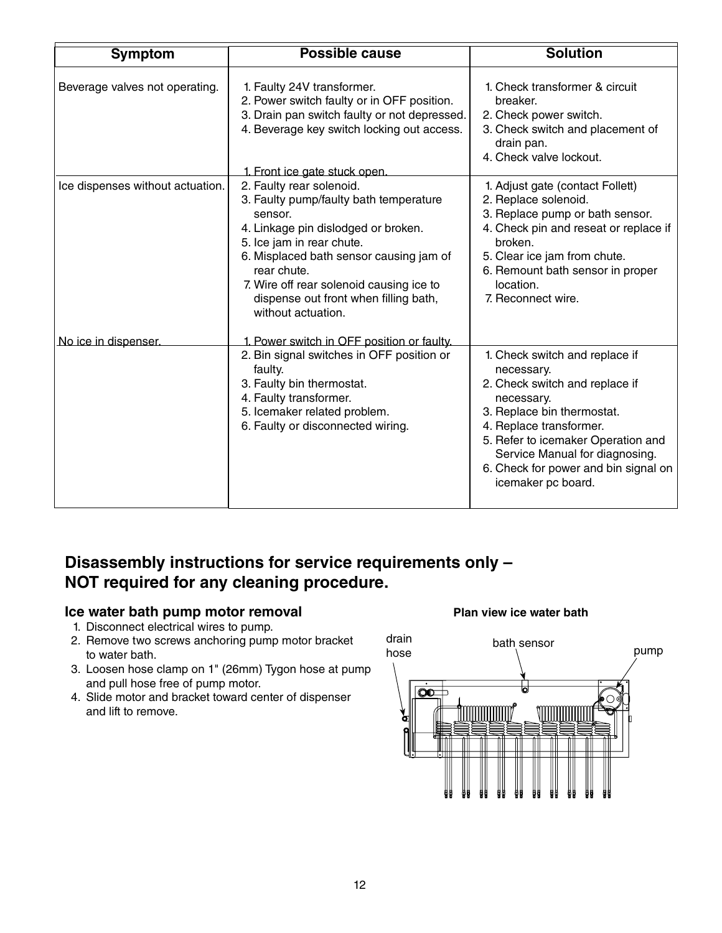| <b>Symptom</b>                   | <b>Possible cause</b>                                                                                                                                                                                                                                                                                                  | <b>Solution</b>                                                                                                                                                                                                                                                                             |
|----------------------------------|------------------------------------------------------------------------------------------------------------------------------------------------------------------------------------------------------------------------------------------------------------------------------------------------------------------------|---------------------------------------------------------------------------------------------------------------------------------------------------------------------------------------------------------------------------------------------------------------------------------------------|
| Beverage valves not operating.   | 1. Faulty 24V transformer.<br>2. Power switch faulty or in OFF position.<br>3. Drain pan switch faulty or not depressed.<br>4. Beverage key switch locking out access.<br>1. Front ice gate stuck open.                                                                                                                | 1. Check transformer & circuit<br>breaker.<br>2. Check power switch.<br>3. Check switch and placement of<br>drain pan.<br>4. Check valve lockout.                                                                                                                                           |
| Ice dispenses without actuation. | 2. Faulty rear solenoid.<br>3. Faulty pump/faulty bath temperature<br>sensor.<br>4. Linkage pin dislodged or broken.<br>5. Ice jam in rear chute.<br>6. Misplaced bath sensor causing jam of<br>rear chute.<br>7. Wire off rear solenoid causing ice to<br>dispense out front when filling bath,<br>without actuation. | 1. Adjust gate (contact Follett)<br>2. Replace solenoid.<br>3. Replace pump or bath sensor.<br>4. Check pin and reseat or replace if<br>broken.<br>5. Clear ice jam from chute.<br>6. Remount bath sensor in proper<br>location.<br>7. Reconnect wire.                                      |
| No ice in dispenser.             | 1. Power switch in OFF position or faulty.<br>2. Bin signal switches in OFF position or<br>faulty.<br>3. Faulty bin thermostat.<br>4. Faulty transformer.<br>5. Icemaker related problem.<br>6. Faulty or disconnected wiring.                                                                                         | 1. Check switch and replace if<br>necessary.<br>2. Check switch and replace if<br>necessary.<br>3. Replace bin thermostat.<br>4. Replace transformer.<br>5. Refer to icemaker Operation and<br>Service Manual for diagnosing.<br>6. Check for power and bin signal on<br>icemaker pc board. |

# **Disassembly instructions for service requirements only – NOT required for any cleaning procedure.**

#### **Ice water bath pump motor removal**

- 1. Disconnect electrical wires to pump.
- 2. Remove two screws anchoring pump motor bracket to water bath.
- 3. Loosen hose clamp on 1" (26mm) Tygon hose at pump and pull hose free of pump motor.
- 4. Slide motor and bracket toward center of dispenser and lift to remove.

#### **Plan view ice water bath**

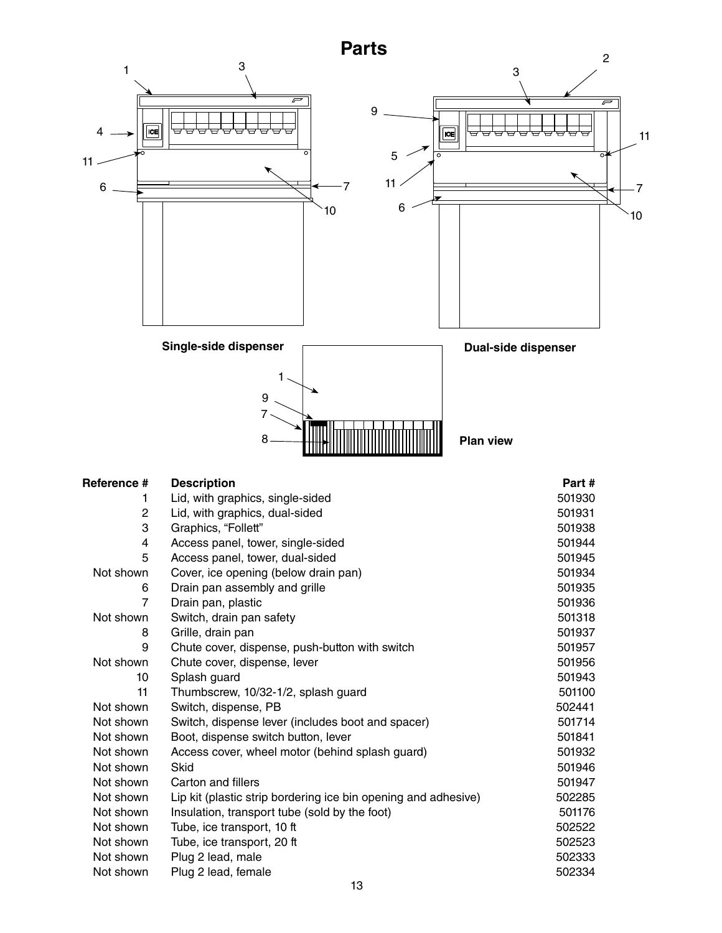### **Parts**



| Not shown | Switch, dispense lever (includes boot and spacer)              | 501714 |
|-----------|----------------------------------------------------------------|--------|
| Not shown | Boot, dispense switch button, lever                            | 501841 |
| Not shown | Access cover, wheel motor (behind splash guard)                | 501932 |
| Not shown | Skid                                                           | 501946 |
| Not shown | Carton and fillers                                             | 501947 |
| Not shown | Lip kit (plastic strip bordering ice bin opening and adhesive) | 502285 |
| Not shown | Insulation, transport tube (sold by the foot)                  | 501176 |
| Not shown | Tube, ice transport, 10 ft                                     | 502522 |
| Not shown | Tube, ice transport, 20 ft                                     | 502523 |
| Not shown | Plug 2 lead, male                                              | 502333 |
| Not shown | Plug 2 lead, female                                            | 502334 |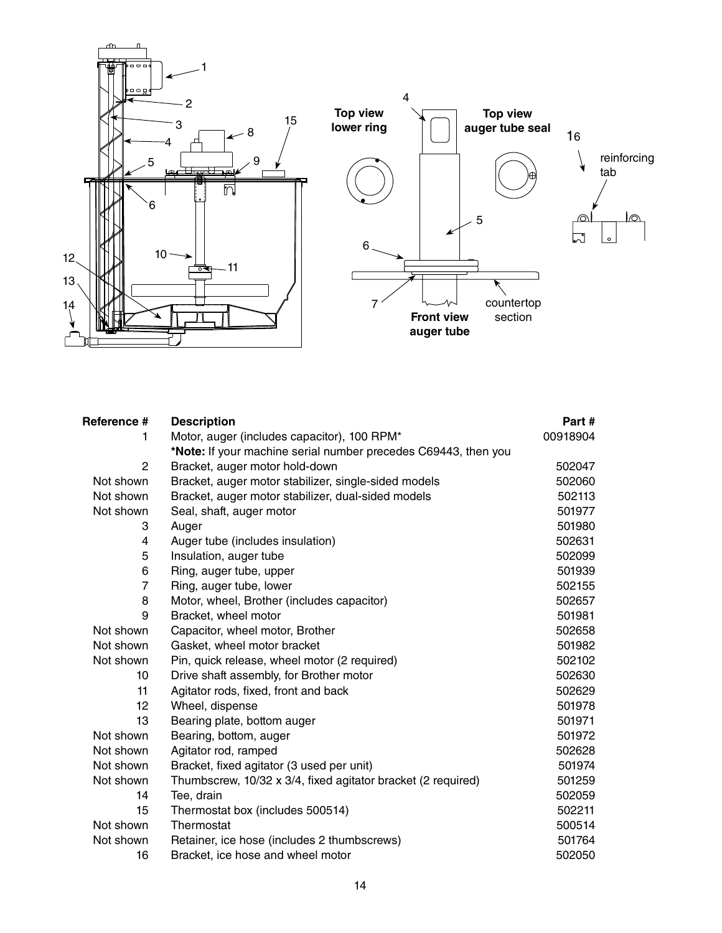

| Reference #    | <b>Description</b>                                             | Part#    |
|----------------|----------------------------------------------------------------|----------|
| 1              | Motor, auger (includes capacitor), 100 RPM*                    | 00918904 |
|                | *Note: If your machine serial number precedes C69443, then you |          |
| $\overline{c}$ | Bracket, auger motor hold-down                                 | 502047   |
| Not shown      | Bracket, auger motor stabilizer, single-sided models           | 502060   |
| Not shown      | Bracket, auger motor stabilizer, dual-sided models             | 502113   |
| Not shown      | Seal, shaft, auger motor                                       | 501977   |
| 3              | Auger                                                          | 501980   |
| 4              | Auger tube (includes insulation)                               | 502631   |
| 5              | Insulation, auger tube                                         | 502099   |
| 6              | Ring, auger tube, upper                                        | 501939   |
| $\overline{7}$ | Ring, auger tube, lower                                        | 502155   |
| 8              | Motor, wheel, Brother (includes capacitor)                     | 502657   |
| 9              | Bracket, wheel motor                                           | 501981   |
| Not shown      | Capacitor, wheel motor, Brother                                | 502658   |
| Not shown      | Gasket, wheel motor bracket                                    | 501982   |
| Not shown      | Pin, quick release, wheel motor (2 required)                   | 502102   |
| 10             | Drive shaft assembly, for Brother motor                        | 502630   |
| 11             | Agitator rods, fixed, front and back                           | 502629   |
| 12             | Wheel, dispense                                                | 501978   |
| 13             | Bearing plate, bottom auger                                    | 501971   |
| Not shown      | Bearing, bottom, auger                                         | 501972   |
| Not shown      | Agitator rod, ramped                                           | 502628   |
| Not shown      | Bracket, fixed agitator (3 used per unit)                      | 501974   |
| Not shown      | Thumbscrew, 10/32 x 3/4, fixed agitator bracket (2 required)   | 501259   |
| 14             | Tee, drain                                                     | 502059   |
| 15             | Thermostat box (includes 500514)                               | 502211   |
| Not shown      | Thermostat                                                     | 500514   |
| Not shown      | Retainer, ice hose (includes 2 thumbscrews)                    | 501764   |
| 16             | Bracket, ice hose and wheel motor                              | 502050   |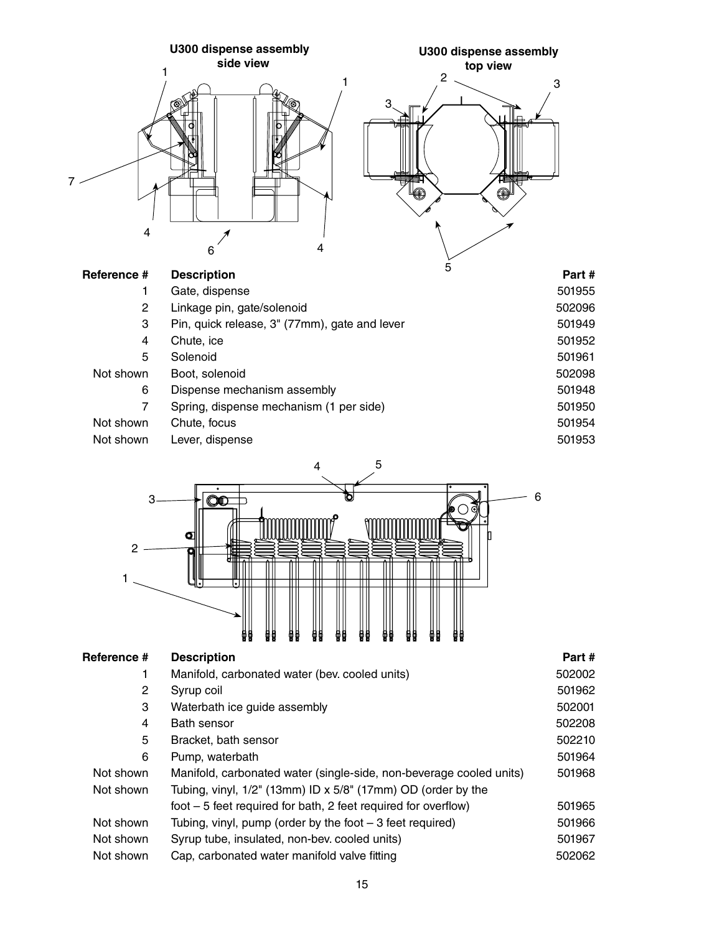



| Reference #           | <b>Description</b>                                                  | Part#  |
|-----------------------|---------------------------------------------------------------------|--------|
| 1                     | Manifold, carbonated water (bev. cooled units)                      | 502002 |
| $\mathbf{2}^{\prime}$ | Syrup coil                                                          | 501962 |
| 3                     | Waterbath ice guide assembly                                        | 502001 |
| 4                     | Bath sensor                                                         | 502208 |
| 5                     | Bracket, bath sensor                                                | 502210 |
| 6                     | Pump, waterbath                                                     | 501964 |
| Not shown             | Manifold, carbonated water (single-side, non-beverage cooled units) | 501968 |
| Not shown             | Tubing, vinyl, 1/2" (13mm) ID x 5/8" (17mm) OD (order by the        |        |
|                       | foot $-5$ feet required for bath, 2 feet required for overflow)     | 501965 |
| Not shown             | Tubing, vinyl, pump (order by the foot $-3$ feet required)          | 501966 |
| Not shown             | Syrup tube, insulated, non-bev. cooled units)                       | 501967 |
| Not shown             | Cap, carbonated water manifold valve fitting                        | 502062 |